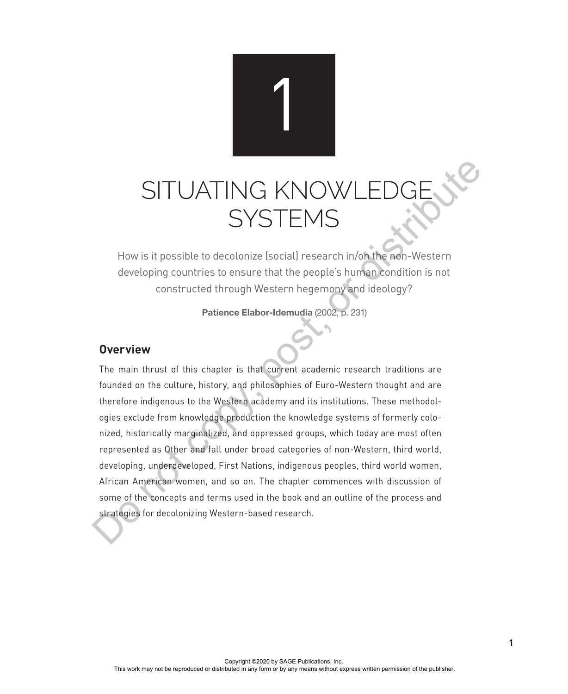

# SITUATING KNOWLEDGE **SYSTEMS**

How is it possible to decolonize (social) research in/on the non-Western developing countries to ensure that the people's human condition is not constructed through Western hegemony and ideology?

Patience Elabor-Idemudia (2002, p. 231)

#### **Overview**

The main thrust of this chapter is that current academic research traditions are founded on the culture, history, and philosophies of Euro-Western thought and are therefore indigenous to the Western academy and its institutions. These methodologies exclude from knowledge production the knowledge systems of formerly colonized, historically marginalized, and oppressed groups, which today are most often represented as Other and fall under broad categories of non-Western, third world, developing, underdeveloped, First Nations, indigenous peoples, third world women, African American women, and so on. The chapter commences with discussion of some of the concepts and terms used in the book and an outline of the process and strategies for decolonizing Western-based research. SITUATING KNOWLEDGE<br>SYSTEMS<br>SYSTEMS<br>How is it possible to decolonize [social] research in/on the nen-Western<br>developing countries to ensure that the people's human condition is not<br>constructed through Western hegemony and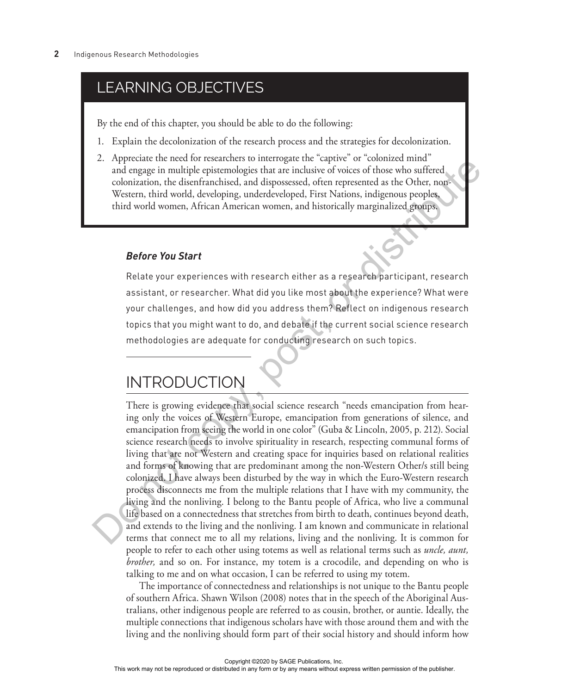# LEARNING OBJECTIVES

By the end of this chapter, you should be able to do the following:

- 1. Explain the decolonization of the research process and the strategies for decolonization.
- 2. Appreciate the need for researchers to interrogate the "captive" or "colonized mind" and engage in multiple epistemologies that are inclusive of voices of those who suffered colonization, the disenfranchised, and dispossessed, often represented as the Other, non-Western, third world, developing, underdeveloped, First Nations, indigenous peoples, third world women, African American women, and historically marginalized groups.

#### *Before You Start*

Relate your experiences with research either as a research participant, research assistant, or researcher. What did you like most about the experience? What were your challenges, and how did you address them? Reflect on indigenous research topics that you might want to do, and debate if the current social science research methodologies are adequate for conducting research on such topics.

# INTRODUCTION

There is growing evidence that social science research "needs emancipation from hearing only the voices of Western Europe, emancipation from generations of silence, and emancipation from seeing the world in one color" (Guba & Lincoln, 2005, p. 212). Social science research needs to involve spirituality in research, respecting communal forms of living that are not Western and creating space for inquiries based on relational realities and forms of knowing that are predominant among the non-Western Other/s still being colonized. I have always been disturbed by the way in which the Euro-Western research process disconnects me from the multiple relations that I have with my community, the living and the nonliving. I belong to the Bantu people of Africa, who live a communal life based on a connectedness that stretches from birth to death, continues beyond death, and extends to the living and the nonliving. I am known and communicate in relational terms that connect me to all my relations, living and the nonliving. It is common for people to refer to each other using totems as well as relational terms such as *uncle, aunt, brother,* and so on. For instance, my totem is a crocodile, and depending on who is talking to me and on what occasion, I can be referred to using my totem. Entring that we can be a statement to denote the spectral of the metric of videos of those who suffered colonization, the dissentional can disposessed, often represented as the Other, none Western, nind world women. Afric

The importance of connectedness and relationships is not unique to the Bantu people of southern Africa. Shawn Wilson (2008) notes that in the speech of the Aboriginal Australians, other indigenous people are referred to as cousin, brother, or auntie. Ideally, the multiple connections that indigenous scholars have with those around them and with the living and the nonliving should form part of their social history and should inform how

Copyright ©2020 by SAGE Publications, Inc.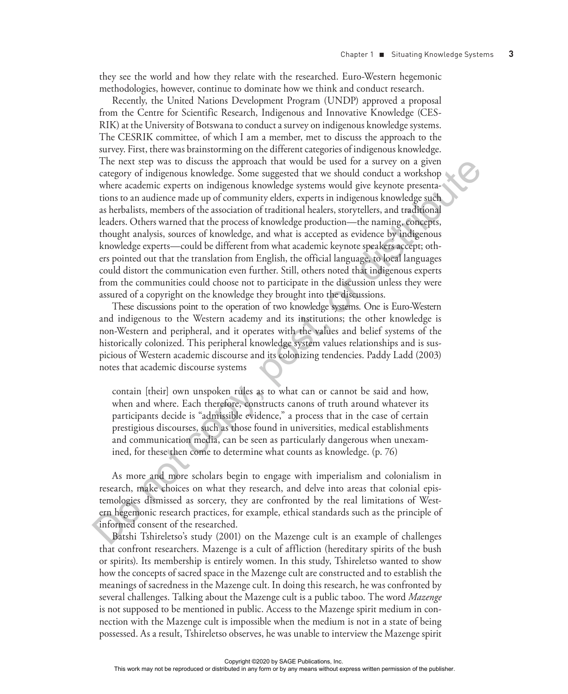they see the world and how they relate with the researched. Euro-Western hegemonic methodologies, however, continue to dominate how we think and conduct research.

Recently, the United Nations Development Program (UNDP) approved a proposal from the Centre for Scientific Research, Indigenous and Innovative Knowledge (CES-RIK) at the University of Botswana to conduct a survey on indigenous knowledge systems. The CESRIK committee, of which I am a member, met to discuss the approach to the survey. First, there was brainstorming on the different categories of indigenous knowledge. The next step was to discuss the approach that would be used for a survey on a given category of indigenous knowledge. Some suggested that we should conduct a workshop where academic experts on indigenous knowledge systems would give keynote presentations to an audience made up of community elders, experts in indigenous knowledge such as herbalists, members of the association of traditional healers, storytellers, and traditional leaders. Others warned that the process of knowledge production—the naming, concepts, thought analysis, sources of knowledge, and what is accepted as evidence by indigenous knowledge experts—could be different from what academic keynote speakers accept; others pointed out that the translation from English, the official language, to local languages could distort the communication even further. Still, others noted that indigenous experts from the communities could choose not to participate in the discussion unless they were assured of a copyright on the knowledge they brought into the discussions. In enext step was to discuss the approach that would be used for a survey on a given<br>not cauging cancel category of indigenous knowledge. Some suggested that we should conduct a workshop<br>where academy consumed with the pr

These discussions point to the operation of two knowledge systems. One is Euro-Western and indigenous to the Western academy and its institutions; the other knowledge is non-Western and peripheral, and it operates with the values and belief systems of the historically colonized. This peripheral knowledge system values relationships and is suspicious of Western academic discourse and its colonizing tendencies. Paddy Ladd (2003) notes that academic discourse systems

contain [their] own unspoken rules as to what can or cannot be said and how, when and where. Each therefore, constructs canons of truth around whatever its participants decide is "admissible evidence," a process that in the case of certain prestigious discourses, such as those found in universities, medical establishments and communication media, can be seen as particularly dangerous when unexamined, for these then come to determine what counts as knowledge. (p. 76)

As more and more scholars begin to engage with imperialism and colonialism in research, make choices on what they research, and delve into areas that colonial epistemologies dismissed as sorcery, they are confronted by the real limitations of Western hegemonic research practices, for example, ethical standards such as the principle of informed consent of the researched.

Batshi Tshireletso's study (2001) on the Mazenge cult is an example of challenges that confront researchers. Mazenge is a cult of affliction (hereditary spirits of the bush or spirits). Its membership is entirely women. In this study, Tshireletso wanted to show how the concepts of sacred space in the Mazenge cult are constructed and to establish the meanings of sacredness in the Mazenge cult. In doing this research, he was confronted by several challenges. Talking about the Mazenge cult is a public taboo. The word *Mazenge* is not supposed to be mentioned in public. Access to the Mazenge spirit medium in connection with the Mazenge cult is impossible when the medium is not in a state of being possessed. As a result, Tshireletso observes, he was unable to interview the Mazenge spirit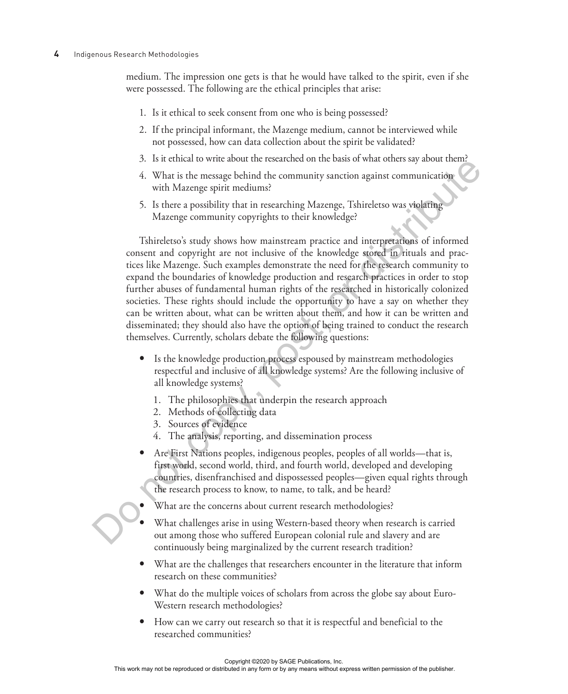#### **4** Indigenous Research Methodologies

medium. The impression one gets is that he would have talked to the spirit, even if she were possessed. The following are the ethical principles that arise:

- 1. Is it ethical to seek consent from one who is being possessed?
- 2. If the principal informant, the Mazenge medium, cannot be interviewed while not possessed, how can data collection about the spirit be validated?
- 3. Is it ethical to write about the researched on the basis of what others say about them?
- 4. What is the message behind the community sanction against communication with Mazenge spirit mediums?
- 5. Is there a possibility that in researching Mazenge, Tshireletso was violating Mazenge community copyrights to their knowledge?

Tshireletso's study shows how mainstream practice and interpretations of informed consent and copyright are not inclusive of the knowledge stored in rituals and practices like Mazenge. Such examples demonstrate the need for the research community to expand the boundaries of knowledge production and research practices in order to stop further abuses of fundamental human rights of the researched in historically colonized societies. These rights should include the opportunity to have a say on whether they can be written about, what can be written about them, and how it can be written and disseminated; they should also have the option of being trained to conduct the research themselves. Currently, scholars debate the following questions: 3. In steament with measure during the research with the base of winto the sample out any size of the state of the state of the state and state of the state and state of the state and interpretations of the state and copy

- Is the knowledge production process espoused by mainstream methodologies respectful and inclusive of all knowledge systems? Are the following inclusive of all knowledge systems?
	- 1. The philosophies that underpin the research approach
	- 2. Methods of collecting data
	- 3. Sources of evidence
	- 4. The analysis, reporting, and dissemination process
- Are First Nations peoples, indigenous peoples, peoples of all worlds—that is, first world, second world, third, and fourth world, developed and developing countries, disenfranchised and dispossessed peoples—given equal rights through the research process to know, to name, to talk, and be heard?

What are the concerns about current research methodologies?

- What challenges arise in using Western-based theory when research is carried out among those who suffered European colonial rule and slavery and are continuously being marginalized by the current research tradition?
- What are the challenges that researchers encounter in the literature that inform research on these communities?
- What do the multiple voices of scholars from across the globe say about Euro-Western research methodologies?
- How can we carry out research so that it is respectful and beneficial to the researched communities?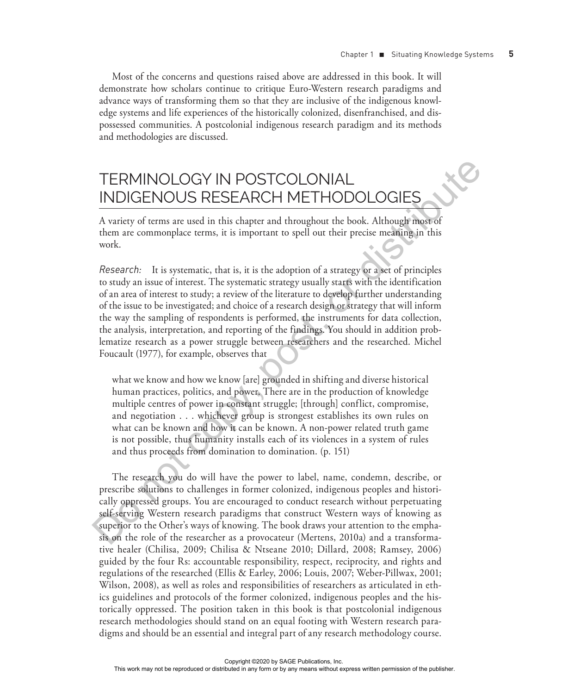Most of the concerns and questions raised above are addressed in this book. It will demonstrate how scholars continue to critique Euro-Western research paradigms and advance ways of transforming them so that they are inclusive of the indigenous knowledge systems and life experiences of the historically colonized, disenfranchised, and dispossessed communities. A postcolonial indigenous research paradigm and its methods and methodologies are discussed.

# TERMINOLOGY IN POSTCOLONIAL INDIGENOUS RESEARCH METHODOLOGIES

A variety of terms are used in this chapter and throughout the book. Although most of them are commonplace terms, it is important to spell out their precise meaning in this work.

*Research:* It is systematic, that is, it is the adoption of a strategy or a set of principles to study an issue of interest. The systematic strategy usually starts with the identification of an area of interest to study; a review of the literature to develop further understanding of the issue to be investigated; and choice of a research design or strategy that will inform the way the sampling of respondents is performed, the instruments for data collection, the analysis, interpretation, and reporting of the findings. You should in addition problematize research as a power struggle between researchers and the researched. Michel Foucault (1977), for example, observes that TERMINOLOGY IN POSTCOLONIAL<br>
INDIGENOUS RESEARCH METHODOLOGIES<br>
A variety of terms are used in this chapter and throughout the book. Although most<br>of them are commonplace terms, it is important to spell out their precise m

what we know and how we know [are] grounded in shifting and diverse historical human practices, politics, and power. There are in the production of knowledge multiple centres of power in constant struggle; [through] conflict, compromise, and negotiation . . . whichever group is strongest establishes its own rules on what can be known and how it can be known. A non-power related truth game is not possible, thus humanity installs each of its violences in a system of rules and thus proceeds from domination to domination. (p. 151)

The research you do will have the power to label, name, condemn, describe, or prescribe solutions to challenges in former colonized, indigenous peoples and historically oppressed groups. You are encouraged to conduct research without perpetuating self-serving Western research paradigms that construct Western ways of knowing as superior to the Other's ways of knowing. The book draws your attention to the emphasis on the role of the researcher as a provocateur (Mertens, 2010a) and a transformative healer (Chilisa, 2009; Chilisa & Ntseane 2010; Dillard, 2008; Ramsey, 2006) guided by the four Rs: accountable responsibility, respect, reciprocity, and rights and regulations of the researched (Ellis & Earley, 2006; Louis, 2007; Weber-Pillwax, 2001; Wilson, 2008), as well as roles and responsibilities of researchers as articulated in ethics guidelines and protocols of the former colonized, indigenous peoples and the historically oppressed. The position taken in this book is that postcolonial indigenous research methodologies should stand on an equal footing with Western research paradigms and should be an essential and integral part of any research methodology course.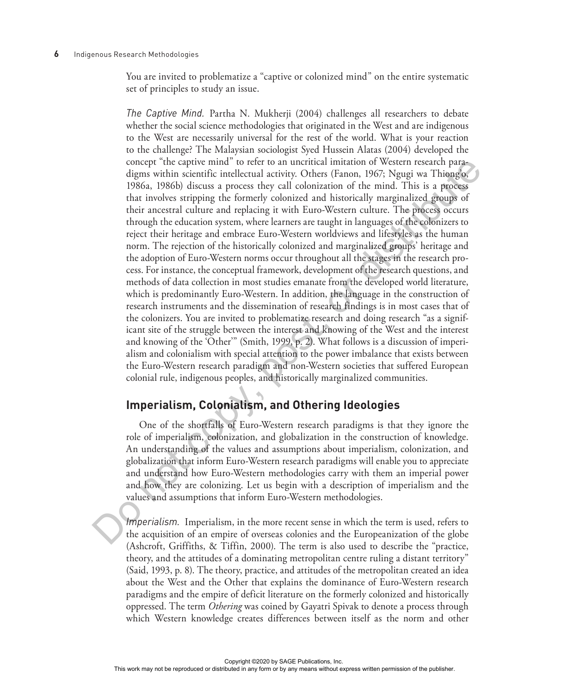#### **6** Indigenous Research Methodologies

You are invited to problematize a "captive or colonized mind" on the entire systematic set of principles to study an issue.

*The Captive Mind.* Partha N. Mukherji (2004) challenges all researchers to debate whether the social science methodologies that originated in the West and are indigenous to the West are necessarily universal for the rest of the world. What is your reaction to the challenge? The Malaysian sociologist Syed Hussein Alatas (2004) developed the concept "the captive mind" to refer to an uncritical imitation of Western research paradigms within scientific intellectual activity. Others (Fanon, 1967; Ngugi wa Thiong'o, 1986a, 1986b) discuss a process they call colonization of the mind. This is a process that involves stripping the formerly colonized and historically marginalized groups of their ancestral culture and replacing it with Euro-Western culture. The process occurs through the education system, where learners are taught in languages of the colonizers to reject their heritage and embrace Euro-Western worldviews and lifestyles as the human norm. The rejection of the historically colonized and marginalized groups' heritage and the adoption of Euro-Western norms occur throughout all the stages in the research process. For instance, the conceptual framework, development of the research questions, and methods of data collection in most studies emanate from the developed world literature, which is predominantly Euro-Western. In addition, the language in the construction of research instruments and the dissemination of research findings is in most cases that of the colonizers. You are invited to problematize research and doing research "as a significant site of the struggle between the interest and knowing of the West and the interest and knowing of the 'Other'" (Smith, 1999, p. 2). What follows is a discussion of imperialism and colonialism with special attention to the power imbalance that exists between the Euro-Western research paradigm and non-Western societies that suffered European colonial rule, indigenous peoples, and historically marginalized communities. concept "the capite maintain to relate to an uncertical innitation of Western research paragetical and inferred in the main consists they can be maintained and inferred in the main consisting the formulation of the mind. T

#### **Imperialism, Colonialism, and Othering Ideologies**

One of the shortfalls of Euro-Western research paradigms is that they ignore the role of imperialism, colonization, and globalization in the construction of knowledge. An understanding of the values and assumptions about imperialism, colonization, and globalization that inform Euro-Western research paradigms will enable you to appreciate and understand how Euro-Western methodologies carry with them an imperial power and how they are colonizing. Let us begin with a description of imperialism and the values and assumptions that inform Euro-Western methodologies.

*Imperialism.* Imperialism, in the more recent sense in which the term is used, refers to the acquisition of an empire of overseas colonies and the Europeanization of the globe (Ashcroft, Griffiths, & Tiffin, 2000). The term is also used to describe the "practice, theory, and the attitudes of a dominating metropolitan centre ruling a distant territory" (Said, 1993, p. 8). The theory, practice, and attitudes of the metropolitan created an idea about the West and the Other that explains the dominance of Euro-Western research paradigms and the empire of deficit literature on the formerly colonized and historically oppressed. The term *Othering* was coined by Gayatri Spivak to denote a process through which Western knowledge creates differences between itself as the norm and other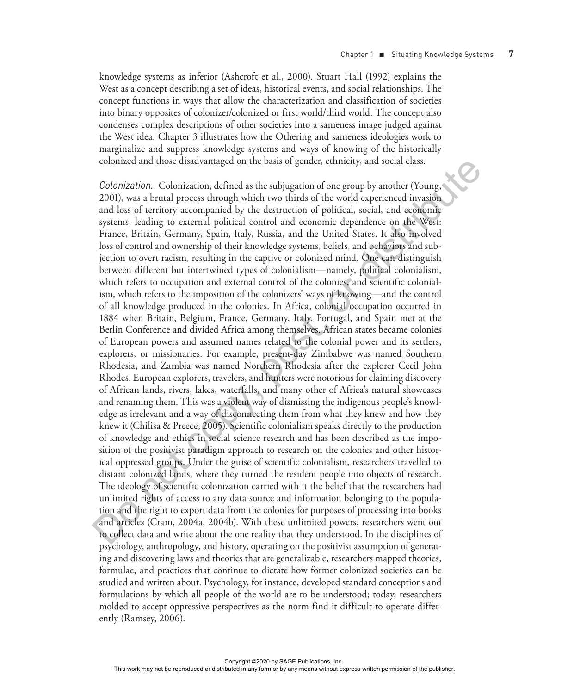knowledge systems as inferior (Ashcroft et al., 2000). Stuart Hall (1992) explains the West as a concept describing a set of ideas, historical events, and social relationships. The concept functions in ways that allow the characterization and classification of societies into binary opposites of colonizer/colonized or first world/third world. The concept also condenses complex descriptions of other societies into a sameness image judged against the West idea. Chapter 3 illustrates how the Othering and sameness ideologies work to marginalize and suppress knowledge systems and ways of knowing of the historically colonized and those disadvantaged on the basis of gender, ethnicity, and social class.

*Colonization.* Colonization, defined as the subjugation of one group by another (Young, 2001), was a brutal process through which two thirds of the world experienced invasion and loss of territory accompanied by the destruction of political, social, and economic systems, leading to external political control and economic dependence on the West: France, Britain, Germany, Spain, Italy, Russia, and the United States. It also involved loss of control and ownership of their knowledge systems, beliefs, and behaviors and subjection to overt racism, resulting in the captive or colonized mind. One can distinguish between different but intertwined types of colonialism—namely, political colonialism, which refers to occupation and external control of the colonies, and scientific colonialism, which refers to the imposition of the colonizers' ways of knowing—and the control of all knowledge produced in the colonies. In Africa, colonial occupation occurred in 1884 when Britain, Belgium, France, Germany, Italy, Portugal, and Spain met at the Berlin Conference and divided Africa among themselves. African states became colonies of European powers and assumed names related to the colonial power and its settlers, explorers, or missionaries. For example, present-day Zimbabwe was named Southern Rhodesia, and Zambia was named Northern Rhodesia after the explorer Cecil John Rhodes. European explorers, travelers, and hunters were notorious for claiming discovery of African lands, rivers, lakes, waterfalls, and many other of Africa's natural showcases and renaming them. This was a violent way of dismissing the indigenous people's knowledge as irrelevant and a way of disconnecting them from what they knew and how they knew it (Chilisa & Preece, 2005). Scientific colonialism speaks directly to the production of knowledge and ethics in social science research and has been described as the imposition of the positivist paradigm approach to research on the colonies and other historical oppressed groups. Under the guise of scientific colonialism, researchers travelled to distant colonized lands, where they turned the resident people into objects of research. The ideology of scientific colonization carried with it the belief that the researchers had unlimited rights of access to any data source and information belonging to the population and the right to export data from the colonies for purposes of processing into books and articles (Cram, 2004a, 2004b). With these unlimited powers, researchers went out to collect data and write about the one reality that they understood. In the disciplines of psychology, anthropology, and history, operating on the positivist assumption of generating and discovering laws and theories that are generalizable, researchers mapped theories, formulae, and practices that continue to dictate how former colonized societies can be studied and written about. Psychology, for instance, developed standard conceptions and formulations by which all people of the world are to be understood; today, researchers molded to accept oppressive perspectives as the norm find it difficult to operate differently (Ramsey, 2006). colonized and those distarvantaged on the basis of genete, ethnicity, and social class.<br>
Colonization. Colonization, defined as the shiptigation of one group by another (Young 2001), was a brutal process through which two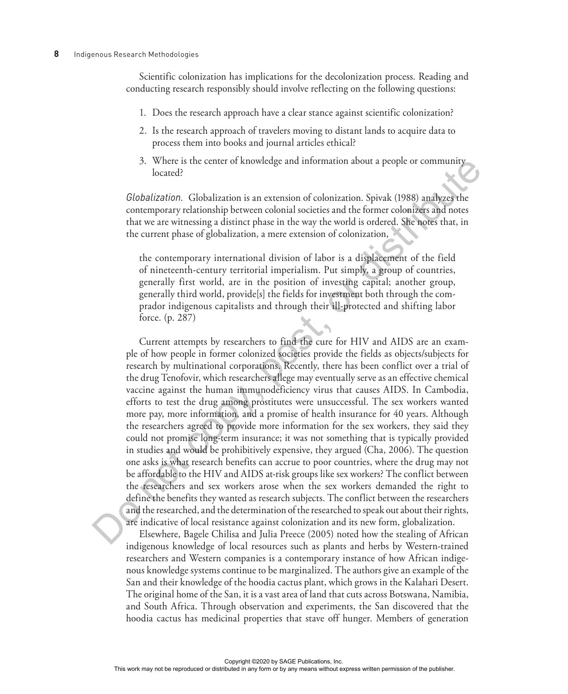Scientific colonization has implications for the decolonization process. Reading and conducting research responsibly should involve reflecting on the following questions:

- 1. Does the research approach have a clear stance against scientific colonization?
- 2. Is the research approach of travelers moving to distant lands to acquire data to process them into books and journal articles ethical?
- 3. Where is the center of knowledge and information about a people or community located?

*Globalization.* Globalization is an extension of colonization. Spivak (1988) analyzes the contemporary relationship between colonial societies and the former colonizers and notes that we are witnessing a distinct phase in the way the world is ordered. She notes that, in the current phase of globalization, a mere extension of colonization,

the contemporary international division of labor is a displacement of the field of nineteenth-century territorial imperialism. Put simply, a group of countries, generally first world, are in the position of investing capital; another group, generally third world, provide[s] the fields for investment both through the comprador indigenous capitalists and through their ill-protected and shifting labor force. (p. 287)

Current attempts by researchers to find the cure for HIV and AIDS are an example of how people in former colonized societies provide the fields as objects/subjects for research by multinational corporations. Recently, there has been conflict over a trial of the drug Tenofovir, which researchers allege may eventually serve as an effective chemical vaccine against the human immunodeficiency virus that causes AIDS. In Cambodia, efforts to test the drug among prostitutes were unsuccessful. The sex workers wanted more pay, more information, and a promise of health insurance for 40 years. Although the researchers agreed to provide more information for the sex workers, they said they could not promise long-term insurance; it was not something that is typically provided in studies and would be prohibitively expensive, they argued (Cha, 2006). The question one asks is what research benefits can accrue to poor countries, where the drug may not be affordable to the HIV and AIDS at-risk groups like sex workers? The conflict between the researchers and sex workers arose when the sex workers demanded the right to define the benefits they wanted as research subjects. The conflict between the researchers and the researched, and the determination of the researched to speak out about their rights, are indicative of local resistance against colonization and its new form, globalization. 3. Where is the center of knowledge and information about a people or community<br>
located?<br>
Clobalization. Globalization is an extension of colonization. Spivak (1988) analyzes the<br>
contemporary relationship between colonia

Elsewhere, Bagele Chilisa and Julia Preece (2005) noted how the stealing of African indigenous knowledge of local resources such as plants and herbs by Western-trained researchers and Western companies is a contemporary instance of how African indigenous knowledge systems continue to be marginalized. The authors give an example of the San and their knowledge of the hoodia cactus plant, which grows in the Kalahari Desert. The original home of the San, it is a vast area of land that cuts across Botswana, Namibia, and South Africa. Through observation and experiments, the San discovered that the hoodia cactus has medicinal properties that stave off hunger. Members of generation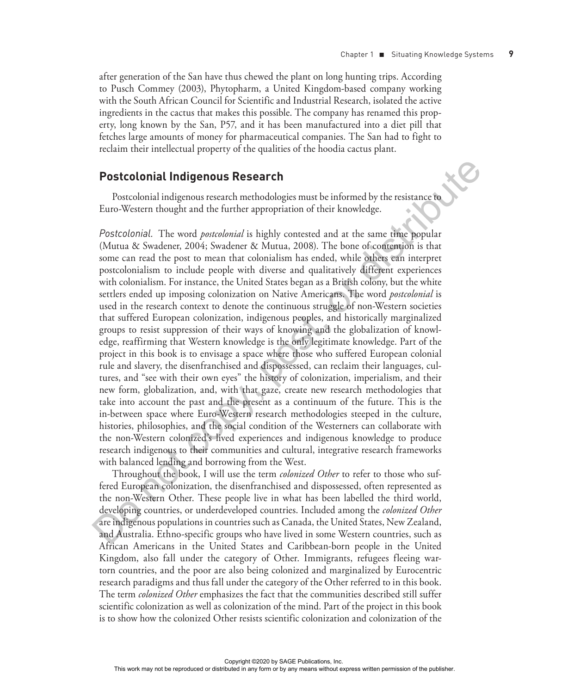after generation of the San have thus chewed the plant on long hunting trips. According to Pusch Commey (2003), Phytopharm, a United Kingdom-based company working with the South African Council for Scientific and Industrial Research, isolated the active ingredients in the cactus that makes this possible. The company has renamed this property, long known by the San, P57, and it has been manufactured into a diet pill that fetches large amounts of money for pharmaceutical companies. The San had to fight to reclaim their intellectual property of the qualities of the hoodia cactus plant.

#### **Postcolonial Indigenous Research**

Postcolonial indigenous research methodologies must be informed by the resistance to Euro-Western thought and the further appropriation of their knowledge.

*Postcolonial.* The word *postcolonial* is highly contested and at the same time popular (Mutua & Swadener, 2004; Swadener & Mutua, 2008). The bone of contention is that some can read the post to mean that colonialism has ended, while others can interpret postcolonialism to include people with diverse and qualitatively different experiences with colonialism. For instance, the United States began as a British colony, but the white settlers ended up imposing colonization on Native Americans. The word *postcolonial* is used in the research context to denote the continuous struggle of non-Western societies that suffered European colonization, indigenous peoples, and historically marginalized groups to resist suppression of their ways of knowing and the globalization of knowledge, reaffirming that Western knowledge is the only legitimate knowledge. Part of the project in this book is to envisage a space where those who suffered European colonial rule and slavery, the disenfranchised and dispossessed, can reclaim their languages, cultures, and "see with their own eyes" the history of colonization, imperialism, and their new form, globalization, and, with that gaze, create new research methodologies that take into account the past and the present as a continuum of the future. This is the in-between space where Euro-Western research methodologies steeped in the culture, histories, philosophies, and the social condition of the Westerners can collaborate with the non-Western colonized's lived experiences and indigenous knowledge to produce research indigenous to their communities and cultural, integrative research frameworks with balanced lending and borrowing from the West. **Postcolonial Indigenous Research**<br>
Postcolonial indigenous research methodologies must be informed by the resistance be<br>
Furo-Western thought and the further appropriation of their knowledge.<br>
Postcolonial. The word *pos* 

Throughout the book, I will use the term *colonized Other* to refer to those who suffered European colonization, the disenfranchised and dispossessed, often represented as the non-Western Other. These people live in what has been labelled the third world, developing countries, or underdeveloped countries. Included among the *colonized Other* are indigenous populations in countries such as Canada, the United States, New Zealand, and Australia. Ethno-specific groups who have lived in some Western countries, such as African Americans in the United States and Caribbean-born people in the United Kingdom, also fall under the category of Other. Immigrants, refugees fleeing wartorn countries, and the poor are also being colonized and marginalized by Eurocentric research paradigms and thus fall under the category of the Other referred to in this book. The term *colonized Other* emphasizes the fact that the communities described still suffer scientific colonization as well as colonization of the mind. Part of the project in this book is to show how the colonized Other resists scientific colonization and colonization of the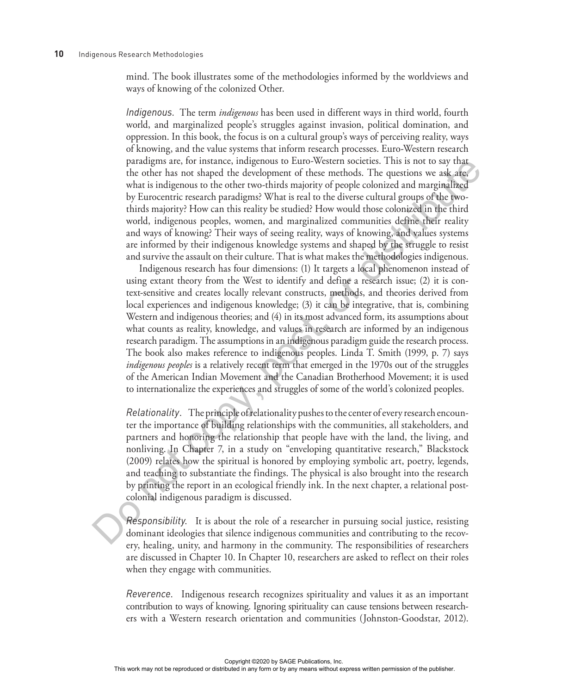mind. The book illustrates some of the methodologies informed by the worldviews and ways of knowing of the colonized Other.

*Indigenous.* The term *indigenous* has been used in different ways in third world, fourth world, and marginalized people's struggles against invasion, political domination, and oppression. In this book, the focus is on a cultural group's ways of perceiving reality, ways of knowing, and the value systems that inform research processes. Euro-Western research paradigms are, for instance, indigenous to Euro-Western societies. This is not to say that the other has not shaped the development of these methods. The questions we ask are, what is indigenous to the other two-thirds majority of people colonized and marginalized by Eurocentric research paradigms? What is real to the diverse cultural groups of the twothirds majority? How can this reality be studied? How would those colonized in the third world, indigenous peoples, women, and marginalized communities define their reality and ways of knowing? Their ways of seeing reality, ways of knowing, and values systems are informed by their indigenous knowledge systems and shaped by the struggle to resist and survive the assault on their culture. That is what makes the methodologies indigenous.

Indigenous research has four dimensions: (1) It targets a local phenomenon instead of using extant theory from the West to identify and define a research issue; (2) it is context-sensitive and creates locally relevant constructs, methods, and theories derived from local experiences and indigenous knowledge; (3) it can be integrative, that is, combining Western and indigenous theories; and (4) in its most advanced form, its assumptions about what counts as reality, knowledge, and values in research are informed by an indigenous research paradigm. The assumptions in an indigenous paradigm guide the research process. The book also makes reference to indigenous peoples. Linda T. Smith (1999, p. 7) says *indigenous peoples* is a relatively recent term that emerged in the 1970s out of the struggles of the American Indian Movement and the Canadian Brotherhood Movement; it is used to internationalize the experiences and struggles of some of the world's colonized peoples. prataems are, tot instance, indigenous to the other western societies. This is not to say that the other western is independent of these methods. The questions we ask atternal integrations to the other two-chirds majority

*Relationality*. The principle of relationality pushes to the center of every research encounter the importance of building relationships with the communities, all stakeholders, and partners and honoring the relationship that people have with the land, the living, and nonliving. In Chapter 7, in a study on "enveloping quantitative research," Blackstock (2009) relates how the spiritual is honored by employing symbolic art, poetry, legends, and teaching to substantiate the findings. The physical is also brought into the research by printing the report in an ecological friendly ink. In the next chapter, a relational postcolonial indigenous paradigm is discussed.

*Responsibility*. It is about the role of a researcher in pursuing social justice, resisting dominant ideologies that silence indigenous communities and contributing to the recovery, healing, unity, and harmony in the community. The responsibilities of researchers are discussed in Chapter 10. In Chapter 10, researchers are asked to reflect on their roles when they engage with communities.

*Reverence*. Indigenous research recognizes spirituality and values it as an important contribution to ways of knowing. Ignoring spirituality can cause tensions between researchers with a Western research orientation and communities (Johnston-Goodstar, 2012).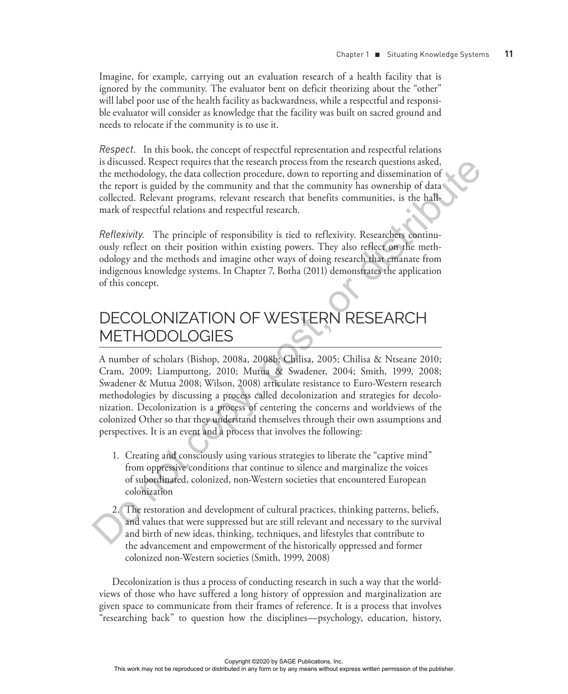Imagine, for example, carrying out an evaluation research of a health facility that is ignored by the community. The evaluator bent on deficit theorizing about the "other" will label poor use of the health facility as backwardness, while a respectful and responsible evaluator will consider as knowledge that the facility was built on sacred ground and needs to relocate if the community is to use it.

*Respect*. In this book, the concept of respectful representation and respectful relations is discussed. Respect requires that the research process from the research questions asked, the methodology, the data collection procedure, down to reporting and dissemination of the report is guided by the community and that the community has ownership of data collected. Relevant programs, relevant research that benefits communities, is the hallmark of respectful relations and respectful research.

*Reflexivity*. The principle of responsibility is tied to reflexivity. Researchers continuously reflect on their position within existing powers. They also reflect on the methodology and the methods and imagine other ways of doing research that emanate from indigenous knowledge systems. In Chapter 7, Botha (2011) demonstrates the application of this concept.

# DECOLONIZATION OF WESTERN RESEARCH METHODOLOGIES

A number of scholars (Bishop, 2008a, 2008b; Chilisa, 2005; Chilisa & Ntseane 2010; Cram, 2009; Liamputtong, 2010; Mutua & Swadener, 2004; Smith, 1999, 2008; Swadener & Mutua 2008; Wilson, 2008) articulate resistance to Euro-Western research methodologies by discussing a process called decolonization and strategies for decolonization. Decolonization is a process of centering the concerns and worldviews of the colonized Other so that they understand themselves through their own assumptions and perspectives. It is an event and a process that involves the following: is discussed. Respect requires that the research process from the research questions asked.<br>
the methodology, the data collection procedure, down to reporting and dissemination of<br>
the report is guided by the community and

1. Creating and consciously using various strategies to liberate the "captive mind" from oppressive conditions that continue to silence and marginalize the voices of subordinated, colonized, non-Western societies that encountered European colonization

2. The restoration and development of cultural practices, thinking patterns, beliefs, and values that were suppressed but are still relevant and necessary to the survival and birth of new ideas, thinking, techniques, and lifestyles that contribute to the advancement and empowerment of the historically oppressed and former colonized non-Western societies (Smith, 1999, 2008)

Decolonization is thus a process of conducting research in such a way that the worldviews of those who have suffered a long history of oppression and marginalization are given space to communicate from their frames of reference. It is a process that involves "researching back" to question how the disciplines—psychology, education, history,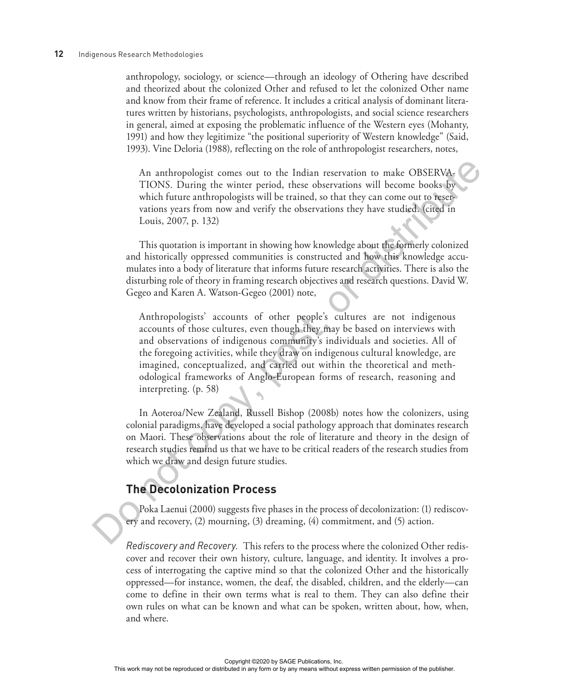anthropology, sociology, or science—through an ideology of Othering have described and theorized about the colonized Other and refused to let the colonized Other name and know from their frame of reference. It includes a critical analysis of dominant literatures written by historians, psychologists, anthropologists, and social science researchers in general, aimed at exposing the problematic influence of the Western eyes (Mohanty, 1991) and how they legitimize "the positional superiority of Western knowledge" (Said, 1993). Vine Deloria (1988), reflecting on the role of anthropologist researchers, notes,

An anthropologist comes out to the Indian reservation to make OBSERVA-TIONS. During the winter period, these observations will become books by which future anthropologists will be trained, so that they can come out to reservations years from now and verify the observations they have studied. (cited in Louis, 2007, p. 132)

This quotation is important in showing how knowledge about the formerly colonized and historically oppressed communities is constructed and how this knowledge accumulates into a body of literature that informs future research activities. There is also the disturbing role of theory in framing research objectives and research questions. David W. Gegeo and Karen A. Watson-Gegeo (2001) note,

Anthropologists' accounts of other people's cultures are not indigenous accounts of those cultures, even though they may be based on interviews with and observations of indigenous community's individuals and societies. All of the foregoing activities, while they draw on indigenous cultural knowledge, are imagined, conceptualized, and carried out within the theoretical and methodological frameworks of Anglo-European forms of research, reasoning and interpreting. (p. 58) An anthropologist comes out to the Indian reservation to make OBSERVACTIONS. During the winter period, these observations will become books by<br>which future anthropologists will be trained, so that they can come out to res

In Aoteroa/New Zealand, Russell Bishop (2008b) notes how the colonizers, using colonial paradigms, have developed a social pathology approach that dominates research on Maori. These observations about the role of literature and theory in the design of research studies remind us that we have to be critical readers of the research studies from which we draw and design future studies.

#### **The Decolonization Process**

Poka Laenui (2000) suggests five phases in the process of decolonization: (1) rediscovery and recovery, (2) mourning, (3) dreaming, (4) commitment, and (5) action.

*Rediscovery and Recovery.* This refers to the process where the colonized Other rediscover and recover their own history, culture, language, and identity. It involves a process of interrogating the captive mind so that the colonized Other and the historically oppressed—for instance, women, the deaf, the disabled, children, and the elderly—can come to define in their own terms what is real to them. They can also define their own rules on what can be known and what can be spoken, written about, how, when, and where.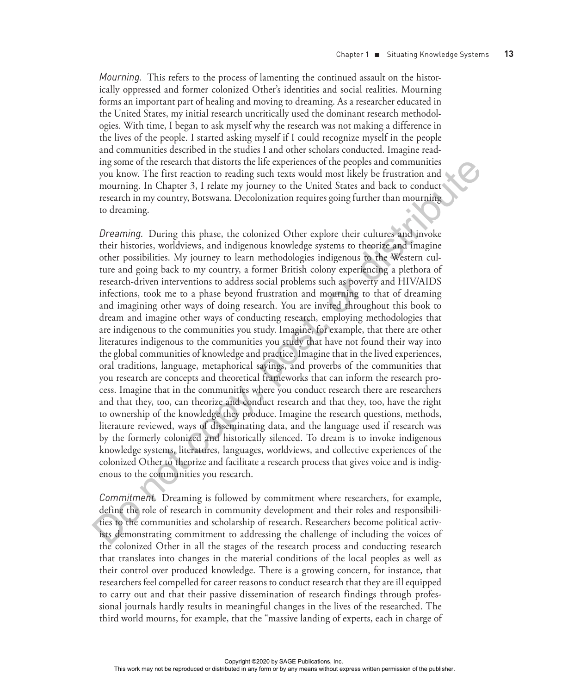*Mourning.* This refers to the process of lamenting the continued assault on the historically oppressed and former colonized Other's identities and social realities. Mourning forms an important part of healing and moving to dreaming. As a researcher educated in the United States, my initial research uncritically used the dominant research methodologies. With time, I began to ask myself why the research was not making a difference in the lives of the people. I started asking myself if I could recognize myself in the people and communities described in the studies I and other scholars conducted. Imagine reading some of the research that distorts the life experiences of the peoples and communities you know. The first reaction to reading such texts would most likely be frustration and mourning. In Chapter 3, I relate my journey to the United States and back to conduct research in my country, Botswana. Decolonization requires going further than mourning to dreaming.

*Dreaming.* During this phase, the colonized Other explore their cultures and invoke their histories, worldviews, and indigenous knowledge systems to theorize and imagine other possibilities. My journey to learn methodologies indigenous to the Western culture and going back to my country, a former British colony experiencing a plethora of research-driven interventions to address social problems such as poverty and HIV/AIDS infections, took me to a phase beyond frustration and mourning to that of dreaming and imagining other ways of doing research. You are invited throughout this book to dream and imagine other ways of conducting research, employing methodologies that are indigenous to the communities you study. Imagine, for example, that there are other literatures indigenous to the communities you study that have not found their way into the global communities of knowledge and practice. Imagine that in the lived experiences, oral traditions, language, metaphorical sayings, and proverbs of the communities that you research are concepts and theoretical frameworks that can inform the research process. Imagine that in the communities where you conduct research there are researchers and that they, too, can theorize and conduct research and that they, too, have the right to ownership of the knowledge they produce. Imagine the research questions, methods, literature reviewed, ways of disseminating data, and the language used if research was by the formerly colonized and historically silenced. To dream is to invoke indigenous knowledge systems, literatures, languages, worldviews, and collective experiences of the colonized Other to theorize and facilitate a research process that gives voice and is indigenous to the communities you research. ing some of the research that distorts the like experiences of the peoples and communities and the conductive memoring. In Chapter 3, I relate my journey to the United States and back to conduct research in my country, Bot

*Commitment.* Dreaming is followed by commitment where researchers, for example, define the role of research in community development and their roles and responsibilities to the communities and scholarship of research. Researchers become political activists demonstrating commitment to addressing the challenge of including the voices of the colonized Other in all the stages of the research process and conducting research that translates into changes in the material conditions of the local peoples as well as their control over produced knowledge. There is a growing concern, for instance, that researchers feel compelled for career reasons to conduct research that they are ill equipped to carry out and that their passive dissemination of research findings through professional journals hardly results in meaningful changes in the lives of the researched. The third world mourns, for example, that the "massive landing of experts, each in charge of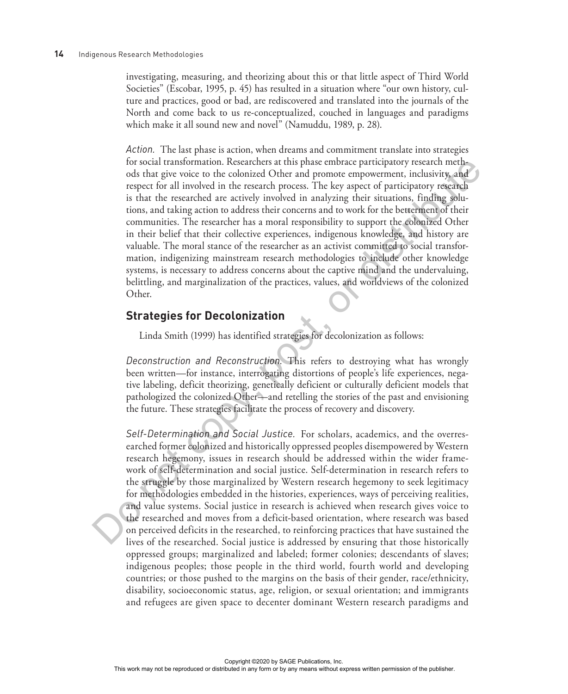investigating, measuring, and theorizing about this or that little aspect of Third World Societies" (Escobar, 1995, p. 45) has resulted in a situation where "our own history, culture and practices, good or bad, are rediscovered and translated into the journals of the North and come back to us re-conceptualized, couched in languages and paradigms which make it all sound new and novel" (Namuddu, 1989, p. 28).

*Action.* The last phase is action, when dreams and commitment translate into strategies for social transformation. Researchers at this phase embrace participatory research methods that give voice to the colonized Other and promote empowerment, inclusivity, and respect for all involved in the research process. The key aspect of participatory research is that the researched are actively involved in analyzing their situations, finding solutions, and taking action to address their concerns and to work for the betterment of their communities. The researcher has a moral responsibility to support the colonized Other in their belief that their collective experiences, indigenous knowledge, and history are valuable. The moral stance of the researcher as an activist committed to social transformation, indigenizing mainstream research methodologies to include other knowledge systems, is necessary to address concerns about the captive mind and the undervaluing, belittling, and marginalization of the practices, values, and worldviews of the colonized Other. to social transformation. Researches at this phase embrace participatory research methods that pixely and expect for all involved in the researched are actively involved in analyzing their stinutions, finding solutions, a

#### **Strategies for Decolonization**

Linda Smith (1999) has identified strategies for decolonization as follows:

*Deconstruction and Reconstruction.* This refers to destroying what has wrongly been written—for instance, interrogating distortions of people's life experiences, negative labeling, deficit theorizing, genetically deficient or culturally deficient models that pathologized the colonized Other—and retelling the stories of the past and envisioning the future. These strategies facilitate the process of recovery and discovery.

*Self-Determination and Social Justice.* For scholars, academics, and the overresearched former colonized and historically oppressed peoples disempowered by Western research hegemony, issues in research should be addressed within the wider framework of self-determination and social justice. Self-determination in research refers to the struggle by those marginalized by Western research hegemony to seek legitimacy for methodologies embedded in the histories, experiences, ways of perceiving realities, and value systems. Social justice in research is achieved when research gives voice to the researched and moves from a deficit-based orientation, where research was based on perceived deficits in the researched, to reinforcing practices that have sustained the lives of the researched. Social justice is addressed by ensuring that those historically oppressed groups; marginalized and labeled; former colonies; descendants of slaves; indigenous peoples; those people in the third world, fourth world and developing countries; or those pushed to the margins on the basis of their gender, race/ethnicity, disability, socioeconomic status, age, religion, or sexual orientation; and immigrants and refugees are given space to decenter dominant Western research paradigms and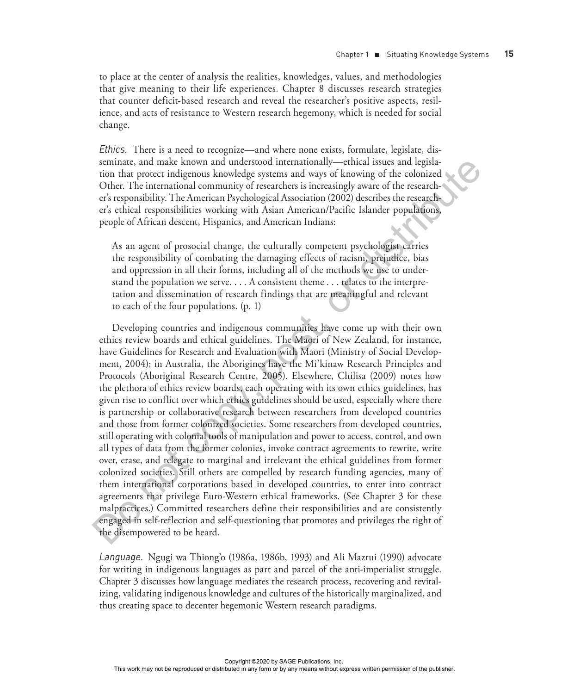to place at the center of analysis the realities, knowledges, values, and methodologies that give meaning to their life experiences. Chapter 8 discusses research strategies that counter deficit-based research and reveal the researcher's positive aspects, resilience, and acts of resistance to Western research hegemony, which is needed for social change.

*Ethics.* There is a need to recognize—and where none exists, formulate, legislate, disseminate, and make known and understood internationally—ethical issues and legislation that protect indigenous knowledge systems and ways of knowing of the colonized Other. The international community of researchers is increasingly aware of the researcher's responsibility. The American Psychological Association (2002) describes the researcher's ethical responsibilities working with Asian American/Pacific Islander populations, people of African descent, Hispanics, and American Indians:

As an agent of prosocial change, the culturally competent psychologist carries the responsibility of combating the damaging effects of racism, prejudice, bias and oppression in all their forms, including all of the methods we use to understand the population we serve. . . . A consistent theme . . . relates to the interpretation and dissemination of research findings that are meaningful and relevant to each of the four populations. (p. 1)

Developing countries and indigenous communities have come up with their own ethics review boards and ethical guidelines. The Maori of New Zealand, for instance, have Guidelines for Research and Evaluation with Maori (Ministry of Social Development, 2004); in Australia, the Aborigines have the Mi'kinaw Research Principles and Protocols (Aboriginal Research Centre, 2005). Elsewhere, Chilisa (2009) notes how the plethora of ethics review boards, each operating with its own ethics guidelines, has given rise to conflict over which ethics guidelines should be used, especially where there is partnership or collaborative research between researchers from developed countries and those from former colonized societies. Some researchers from developed countries, still operating with colonial tools of manipulation and power to access, control, and own all types of data from the former colonies, invoke contract agreements to rewrite, write over, erase, and relegate to marginal and irrelevant the ethical guidelines from former colonized societies. Still others are compelled by research funding agencies, many of them international corporations based in developed countries, to enter into contract agreements that privilege Euro-Western ethical frameworks. (See Chapter 3 for these malpractices.) Committed researchers define their responsibilities and are consistently engaged in self-reflection and self-questioning that promotes and privileges the right of the disempowered to be heard. similarite, and make known and understood internationally—echiclal issues and legisla-<br>sign on that protect indigenous knowledge systems and ways of knowing of the colonized<br>Other. The international community of reaches i

*Language*. Ngugi wa Thiong'o (1986a, 1986b, 1993) and Ali Mazrui (1990) advocate for writing in indigenous languages as part and parcel of the anti-imperialist struggle. Chapter 3 discusses how language mediates the research process, recovering and revitalizing, validating indigenous knowledge and cultures of the historically marginalized, and thus creating space to decenter hegemonic Western research paradigms.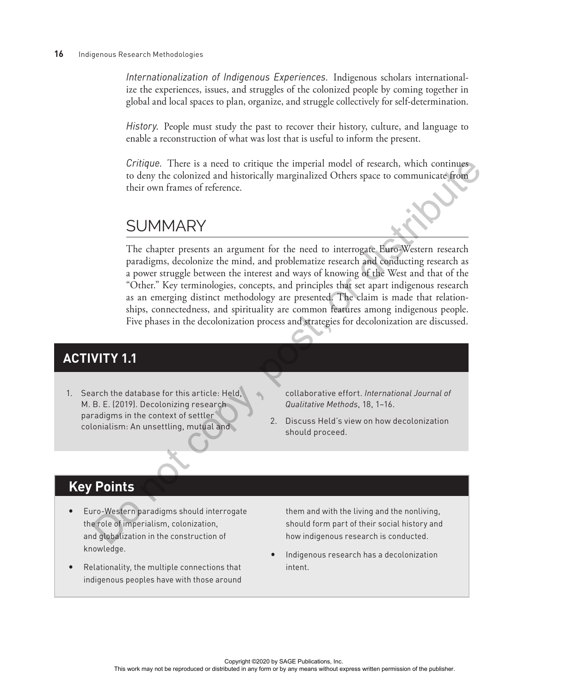#### **16** Indigenous Research Methodologies

*Internationalization of Indigenous Experiences.* Indigenous scholars internationalize the experiences, issues, and struggles of the colonized people by coming together in global and local spaces to plan, organize, and struggle collectively for self-determination.

*History.* People must study the past to recover their history, culture, and language to enable a reconstruction of what was lost that is useful to inform the present.

*Critique.* There is a need to critique the imperial model of research, which continues to deny the colonized and historically marginalized Others space to communicate from their own frames of reference.

# **SUMMARY**

The chapter presents an argument for the need to interrogate Euro-Western research paradigms, decolonize the mind, and problematize research and conducting research as a power struggle between the interest and ways of knowing of the West and that of the "Other." Key terminologies, concepts, and principles that set apart indigenous research as an emerging distinct methodology are presented. The claim is made that relationships, connectedness, and spirituality are common features among indigenous people. Five phases in the decolonization process and strategies for decolonization are discussed. Critique . There is a med to critique the imperial model of research, which continues to deny the colonized and bisorically marginalized Others space to communicate from their own fanns of reference.<br>  $\begin{array}{l} \text{SUMMARY} \\ \text{The$ 

### **ACTIVITY 1.1**

1. Search the database for this article: Held, M. B. E. (2019). Decolonizing research paradigms in the context of settler colonialism: An unsettling, mutual and

collaborative effort. *International Journal of Qualitative Methods*, 18, 1–16.

2. Discuss Held's view on how decolonization should proceed.

### **Key Points**

- Euro-Western paradigms should interrogate the role of imperialism, colonization, and globalization in the construction of knowledge.
- Relationality, the multiple connections that indigenous peoples have with those around

them and with the living and the nonliving, should form part of their social history and how indigenous research is conducted.

 Indigenous research has a decolonization intent.